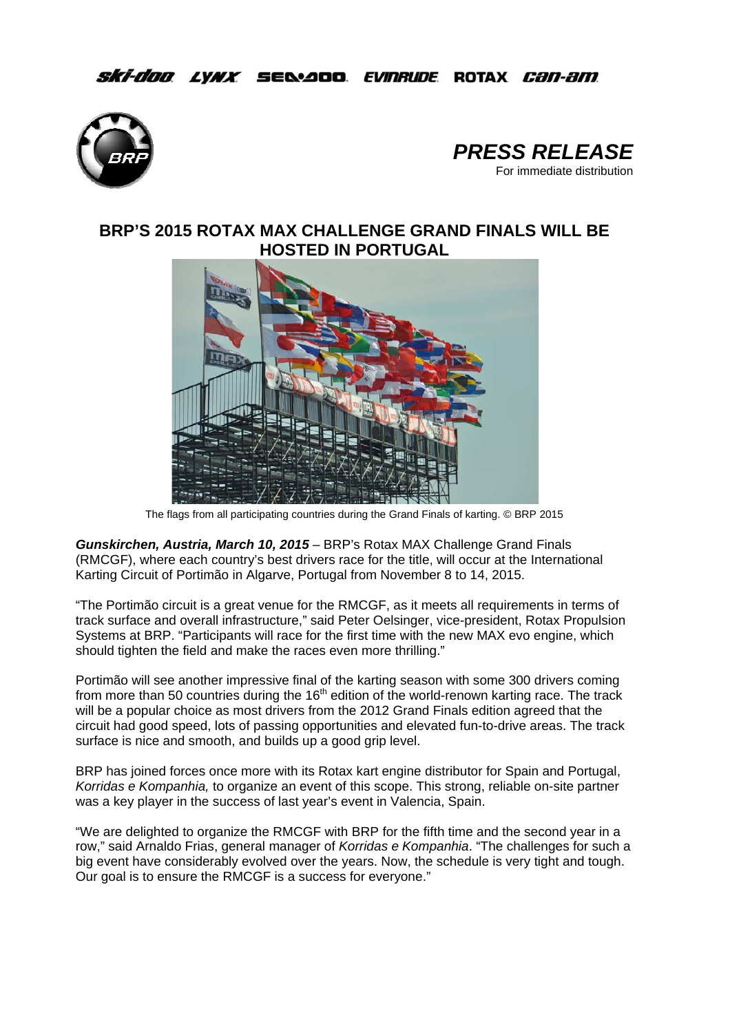## *Ski-doo Lynx Selaa*oo *Evinrude* Rotax *Can-am*





# **BRP'S 2015 ROTAX MAX CHALLENGE GRAND FINALS WILL BE HOSTED IN PORTUGAL**



The flags from all participating countries during the Grand Finals of karting. © BRP 2015

*Gunskirchen, Austria, March 10, 2015* – BRP's Rotax MAX Challenge Grand Finals (RMCGF), where each country's best drivers race for the title, will occur at the International Karting Circuit of Portimão in Algarve, Portugal from November 8 to 14, 2015.

"The Portimão circuit is a great venue for the RMCGF, as it meets all requirements in terms of track surface and overall infrastructure," said Peter Oelsinger, vice-president, Rotax Propulsion Systems at BRP. "Participants will race for the first time with the new MAX evo engine, which should tighten the field and make the races even more thrilling."

Portimão will see another impressive final of the karting season with some 300 drivers coming from more than 50 countries during the  $16<sup>th</sup>$  edition of the world-renown karting race. The track will be a popular choice as most drivers from the 2012 Grand Finals edition agreed that the circuit had good speed, lots of passing opportunities and elevated fun-to-drive areas. The track surface is nice and smooth, and builds up a good grip level.

BRP has joined forces once more with its Rotax kart engine distributor for Spain and Portugal, *Korridas e Kompanhia,* to organize an event of this scope. This strong, reliable on-site partner was a key player in the success of last year's event in Valencia, Spain.

"We are delighted to organize the RMCGF with BRP for the fifth time and the second year in a row," said Arnaldo Frias, general manager of *Korridas e Kompanhia*. "The challenges for such a big event have considerably evolved over the years. Now, the schedule is very tight and tough. Our goal is to ensure the RMCGF is a success for everyone."